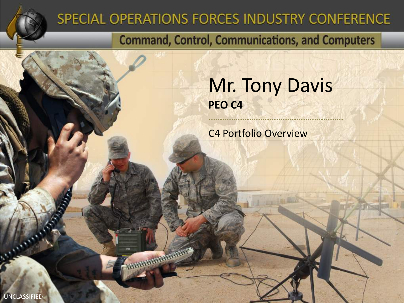

### SPECIAL OPERATIONS FORCES INDUSTRY CONFERENCE

**CONTINUES AND REAL PROPERTY** 

**Command, Control, Communications, and Computers** 

Mr. Tony Davis **PEO C4**

C4 Portfolio Overview

UNCLASSIFIED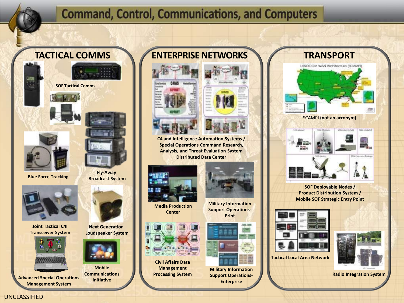#### **TACTICAL COMMS**

**SOF Tactical Comms**





**Blue Force Tracking**



**Joint Tactical C4I Transceiver System**



**Advanced Special Operations Management System**



**Next Generation Loudspeaker System**



**Mobile Communications Initiative**

#### **ENTERPRISE NETWORKS**





**C4 and Intelligence Automation Systems / Special Operations Command Research, Analysis, and Threat Evaluation System Distributed Data Center**



**Media Production Center**



**Civil Affairs Data Management Processing System**



**Military Information Support Operations-Print**



**Military Information Support Operations-Enterprise**



**Tactical Local Area Network** 





**Radio Integration System**



**MWARROOT City Abellian** (Del Literaturisch) SDN-LINGVIOL **10M Externion Facture** 

SCAMPI **(not an acronym)**

**SOF Deployable Nodes / Product Distribution System / Mobile SOF Strategic Entry Point**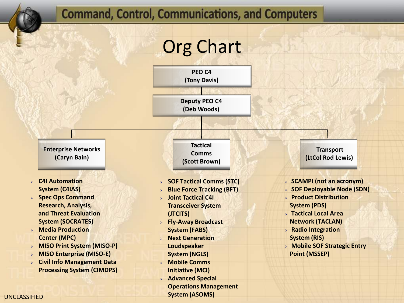# Org Chart

**PEO C4 (Tony Davis)**

**Deputy PEO C4 (Deb Woods)**

**Enterprise Networks (Caryn Bain)**

- **C4I Automation System (C4IAS)**
- **Spec Ops Command Research, Analysis, and Threat Evaluation System (SOCRATES)**
- **Media Production Center (MPC)**
- **MISO Print System (MISO-P)**
- **MISO Enterprise (MISO-E)**
- **Civil Info Management Data Processing System (CIMDPS)**

**Tactical Comms (Scott Brown)**

- **SOF Tactical Comms (STC)**
- **Blue Force Tracking (BFT)**
- **Joint Tactical C4I Transceiver System (JTCITS)**
- **Fly-Away Broadcast System (FABS)**
- **Next Generation Loudspeaker**
- **System (NGLS)**
- **Mobile Comms**
- **Initiative (MCI)**
- **Advanced Special** 
	- **Operations Management System (ASOMS)**

**Transport (LtCol Rod Lewis)**

- **SCAMPI (not an acronym)**
- **SOF Deployable Node (SDN)**
- **Product Distribution System (PDS)**
- **Tactical Local Area Network (TACLAN)**
- **Radio Integration System (RIS)**
- **Mobile SOF Strategic Entry Point (MSSEP)**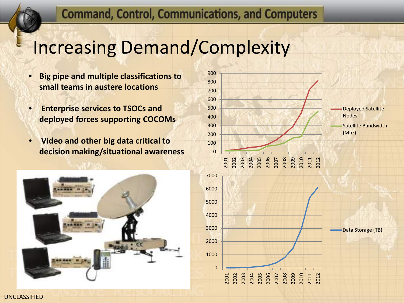### Increasing Demand/Complexity

- **Big pipe and multiple classifications to small teams in austere locations**
- **Enterprise services to TSOCs and deployed forces supporting COCOMs**
- **Video and other big data critical to decision making/situational awareness**



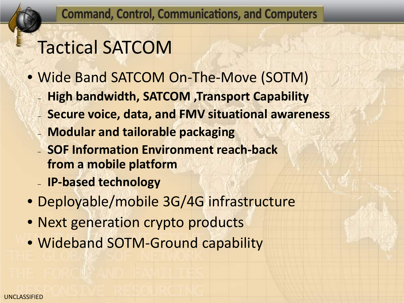# Tactical SATCOM

- Wide Band SATCOM On-The-Move (SOTM)
	- **High bandwidth, SATCOM ,Transport Capability**
	- **Secure voice, data, and FMV situational awareness**
	- **Modular and tailorable packaging**
	- **SOF Information Environment reach-back from a mobile platform**
	- **IP-based technology**
- Deployable/mobile 3G/4G infrastructure
- Next generation crypto products
- Wideband SOTM-Ground capability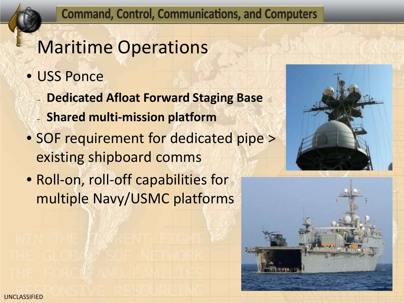## Maritime Operations

- USS Ponce
	- **Dedicated Afloat Forward Staging Base**
	- **Shared multi-mission platform**
- SOF requirement for dedicated pipe > existing shipboard comms
- Roll-on, roll-off capabilities for multiple Navy/USMC platforms



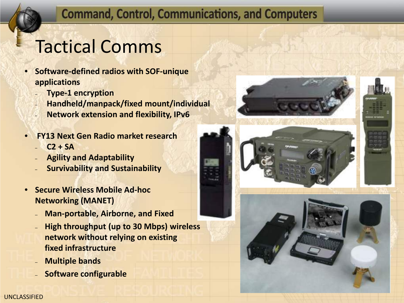# Tactical Comms

- **Software-defined radios with SOF-unique applications**
	- **Type-1 encryption**
	- **Handheld/manpack/fixed mount/individual**
	- **Network extension and flexibility, IPv6**
- **FY13 Next Gen Radio market research**
	- **C2 + SA**
	- **Agility and Adaptability**
	- **Survivability and Sustainability**
- **Secure Wireless Mobile Ad-hoc Networking (MANET)** 
	- **Man-portable, Airborne, and Fixed**
	- **High throughput (up to 30 Mbps) wireless network without relying on existing fixed infrastructure**
	- **Multiple bands**
	- **Software configurable**





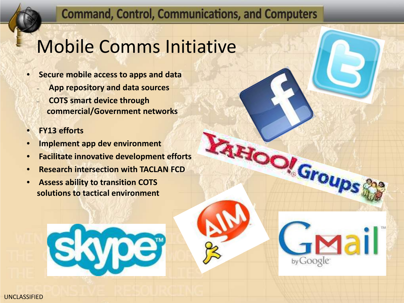**Loon** Group

by Google

lail

## Mobile Comms Initiative

- **Secure mobile access to apps and data** – **App repository and data sources**
	- **COTS smart device through commercial/Government networks**
- **FY13 efforts**
- **Implement app dev environment**
- **Facilitate innovative development efforts**
- **Research intersection with TACLAN FCD**
- **Assess ability to transition COTS solutions to tactical environment**